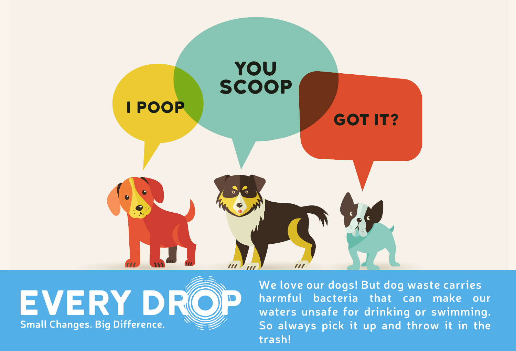



**We love our dogs! But dog waste carries harmful bacteria that can make our waters unsafe for drinking or swimming. So always pick it up and throw it in the trash!**